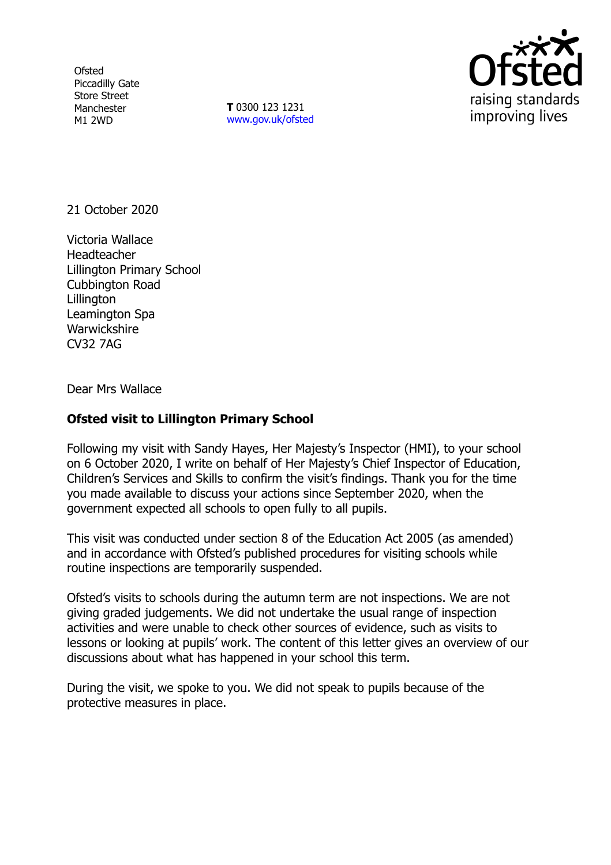**Ofsted** Piccadilly Gate Store Street Manchester M1 2WD

**T** 0300 123 1231 [www.gov.uk/ofsted](http://www.gov.uk/ofsted)



21 October 2020

Victoria Wallace Headteacher Lillington Primary School Cubbington Road **Lillington** Leamington Spa **Warwickshire** CV32 7AG

Dear Mrs Wallace

## **Ofsted visit to Lillington Primary School**

Following my visit with Sandy Hayes, Her Majesty's Inspector (HMI), to your school on 6 October 2020, I write on behalf of Her Majesty's Chief Inspector of Education, Children's Services and Skills to confirm the visit's findings. Thank you for the time you made available to discuss your actions since September 2020, when the government expected all schools to open fully to all pupils.

This visit was conducted under section 8 of the Education Act 2005 (as amended) and in accordance with Ofsted's published procedures for visiting schools while routine inspections are temporarily suspended.

Ofsted's visits to schools during the autumn term are not inspections. We are not giving graded judgements. We did not undertake the usual range of inspection activities and were unable to check other sources of evidence, such as visits to lessons or looking at pupils' work. The content of this letter gives an overview of our discussions about what has happened in your school this term.

During the visit, we spoke to you. We did not speak to pupils because of the protective measures in place.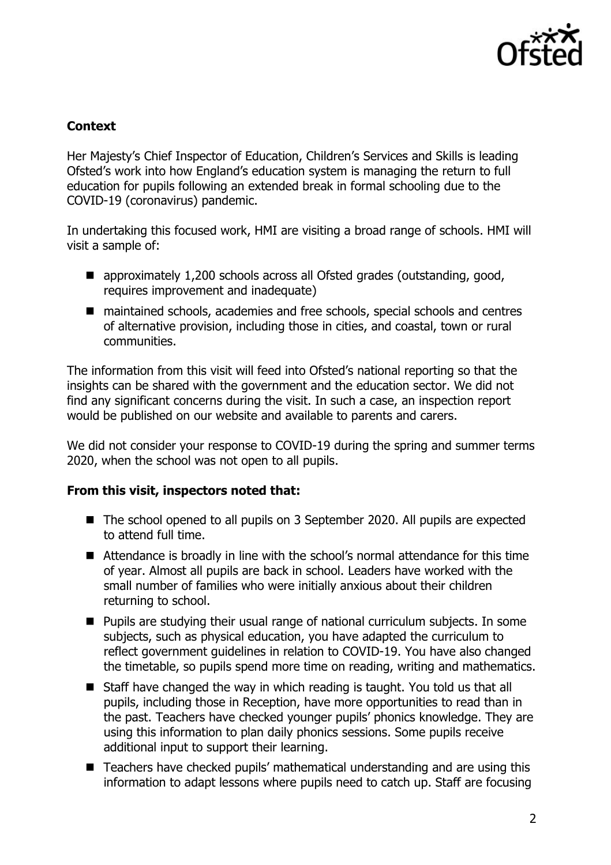

## **Context**

Her Majesty's Chief Inspector of Education, Children's Services and Skills is leading Ofsted's work into how England's education system is managing the return to full education for pupils following an extended break in formal schooling due to the COVID-19 (coronavirus) pandemic.

In undertaking this focused work, HMI are visiting a broad range of schools. HMI will visit a sample of:

- approximately 1,200 schools across all Ofsted grades (outstanding, good, requires improvement and inadequate)
- maintained schools, academies and free schools, special schools and centres of alternative provision, including those in cities, and coastal, town or rural communities.

The information from this visit will feed into Ofsted's national reporting so that the insights can be shared with the government and the education sector. We did not find any significant concerns during the visit. In such a case, an inspection report would be published on our website and available to parents and carers.

We did not consider your response to COVID-19 during the spring and summer terms 2020, when the school was not open to all pupils.

## **From this visit, inspectors noted that:**

- The school opened to all pupils on 3 September 2020. All pupils are expected to attend full time.
- Attendance is broadly in line with the school's normal attendance for this time of year. Almost all pupils are back in school. Leaders have worked with the small number of families who were initially anxious about their children returning to school.
- Pupils are studying their usual range of national curriculum subjects. In some subjects, such as physical education, you have adapted the curriculum to reflect government guidelines in relation to COVID-19. You have also changed the timetable, so pupils spend more time on reading, writing and mathematics.
- Staff have changed the way in which reading is taught. You told us that all pupils, including those in Reception, have more opportunities to read than in the past. Teachers have checked younger pupils' phonics knowledge. They are using this information to plan daily phonics sessions. Some pupils receive additional input to support their learning.
- Teachers have checked pupils' mathematical understanding and are using this information to adapt lessons where pupils need to catch up. Staff are focusing